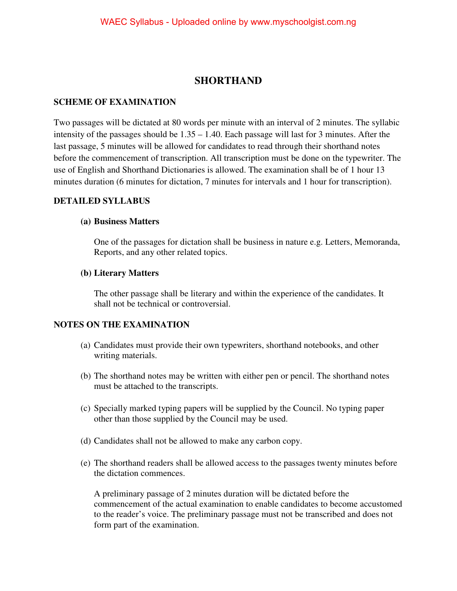# **SHORTHAND**

## **SCHEME OF EXAMINATION**

Two passages will be dictated at 80 words per minute with an interval of 2 minutes. The syllabic intensity of the passages should be 1.35 – 1.40. Each passage will last for 3 minutes. After the last passage, 5 minutes will be allowed for candidates to read through their shorthand notes before the commencement of transcription. All transcription must be done on the typewriter. The use of English and Shorthand Dictionaries is allowed. The examination shall be of 1 hour 13 minutes duration (6 minutes for dictation, 7 minutes for intervals and 1 hour for transcription).

### **DETAILED SYLLABUS**

#### **(a) Business Matters**

One of the passages for dictation shall be business in nature e.g. Letters, Memoranda, Reports, and any other related topics.

#### **(b) Literary Matters**

The other passage shall be literary and within the experience of the candidates. It shall not be technical or controversial.

### **NOTES ON THE EXAMINATION**

- (a) Candidates must provide their own typewriters, shorthand notebooks, and other writing materials.
- (b) The shorthand notes may be written with either pen or pencil. The shorthand notes must be attached to the transcripts.
- (c) Specially marked typing papers will be supplied by the Council. No typing paper other than those supplied by the Council may be used.
- (d) Candidates shall not be allowed to make any carbon copy.
- (e) The shorthand readers shall be allowed access to the passages twenty minutes before the dictation commences.

 A preliminary passage of 2 minutes duration will be dictated before the commencement of the actual examination to enable candidates to become accustomed to the reader's voice. The preliminary passage must not be transcribed and does not form part of the examination.